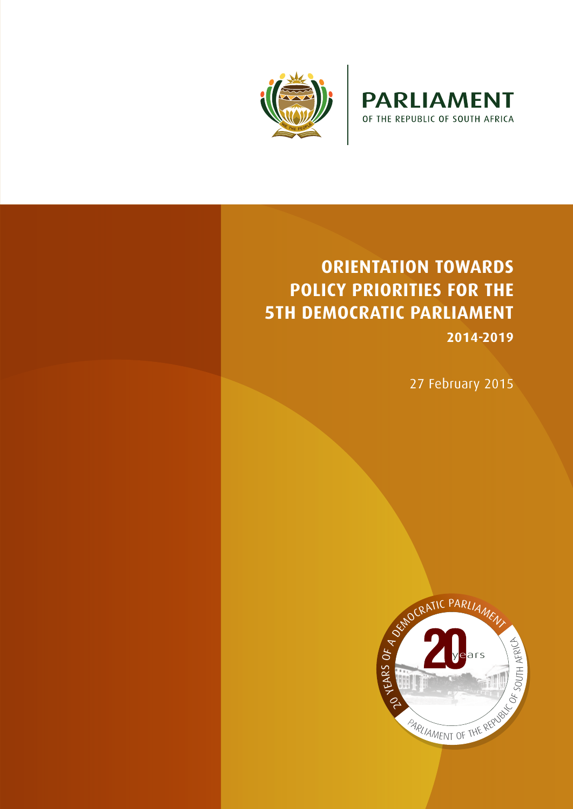



# **ORIENTATION TOWARDS POLICY PRIORITIES FOR THE 5TH DEMOCRATIC PARLIAMENT**

**2014-2019**

27 February 2015

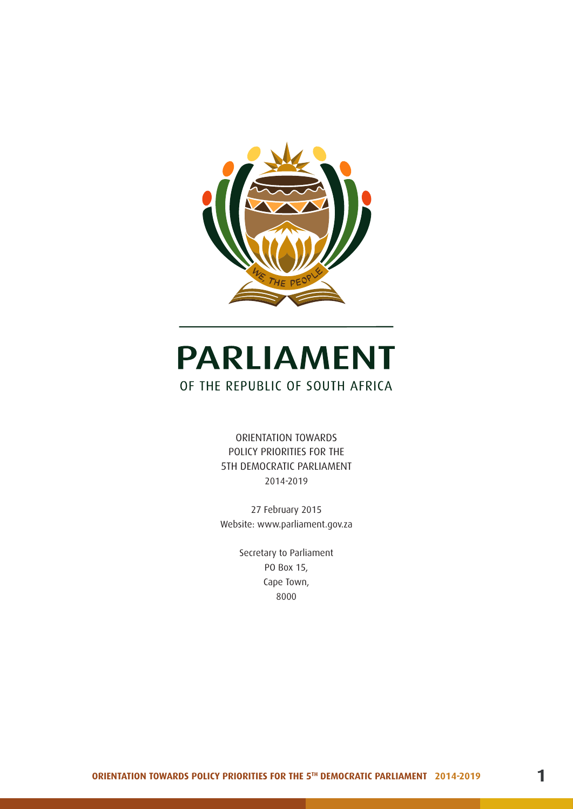

# **PARLIAMENT** OF THE REPUBLIC OF SOUTH AFRICA

ORIENTATION TOWARDS POLICY PRIORITIES FOR THE 5TH DEMOCRATIC PARLIAMENT 2014-2019

27 February 2015 Website: www.parliament.gov.za

> Secretary to Parliament PO Box 15, Cape Town, 8000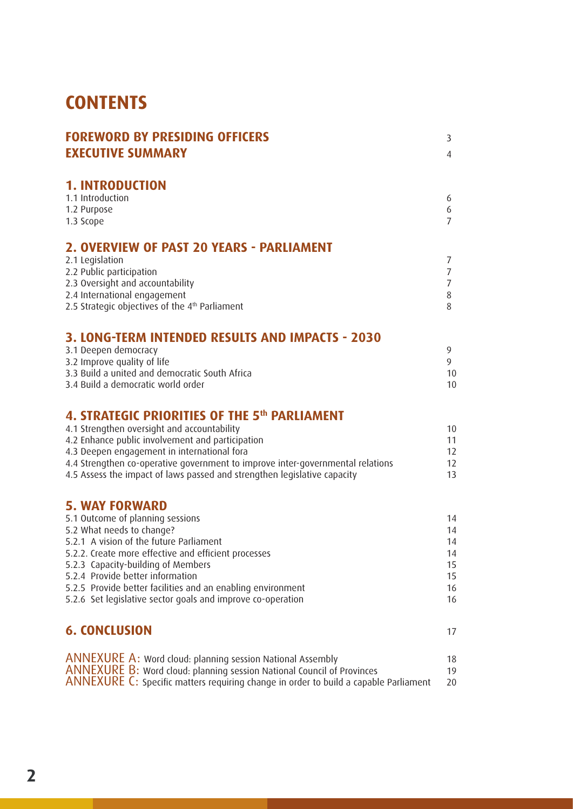# **CONTENTS**

| <b>FOREWORD BY PRESIDING OFFICERS</b>                                                           | 3                   |
|-------------------------------------------------------------------------------------------------|---------------------|
| <b>EXECUTIVE SUMMARY</b>                                                                        | $\overline{4}$      |
| <b>1. INTRODUCTION</b>                                                                          |                     |
| 1.1 Introduction                                                                                | 6                   |
| 1.2 Purpose                                                                                     | 6                   |
| 1.3 Scope                                                                                       | $\overline{7}$      |
| 2. OVERVIEW OF PAST 20 YEARS - PARLIAMENT                                                       |                     |
| 2.1 Legislation                                                                                 | 7                   |
| 2.2 Public participation                                                                        | $\overline{7}$      |
| 2.3 Oversight and accountability<br>2.4 International engagement                                | $\overline{7}$<br>8 |
| 2.5 Strategic objectives of the 4 <sup>th</sup> Parliament                                      | 8                   |
|                                                                                                 |                     |
| 3. LONG-TERM INTENDED RESULTS AND IMPACTS - 2030<br>3.1 Deepen democracy                        | 9                   |
| 3.2 Improve quality of life                                                                     | 9                   |
| 3.3 Build a united and democratic South Africa                                                  | 10                  |
| 3.4 Build a democratic world order                                                              | 10                  |
| 4. STRATEGIC PRIORITIES OF THE 5th PARLIAMENT                                                   |                     |
| 4.1 Strengthen oversight and accountability                                                     | 10                  |
| 4.2 Enhance public involvement and participation                                                | 11                  |
| 4.3 Deepen engagement in international fora                                                     | 12                  |
| 4.4 Strengthen co-operative government to improve inter-governmental relations                  | 12                  |
| 4.5 Assess the impact of laws passed and strengthen legislative capacity                        | 13                  |
| <b>5. WAY FORWARD</b>                                                                           |                     |
| 5.1 Outcome of planning sessions                                                                | 14                  |
| 5.2 What needs to change?                                                                       | 14                  |
| 5.2.1 A vision of the future Parliament                                                         | 14                  |
| 5.2.2. Create more effective and efficient processes                                            | 14                  |
| 5.2.3 Capacity-building of Members                                                              | 15                  |
| 5.2.4 Provide better information<br>5.2.5 Provide better facilities and an enabling environment | 15<br>16            |
| 5.2.6 Set legislative sector goals and improve co-operation                                     | 16                  |
| <b>6. CONCLUSION</b>                                                                            |                     |
|                                                                                                 | 17                  |
| <b>ANNEXURE A: Word cloud: planning session National Assembly</b>                               | 18                  |
| <b>ANNEXURE B:</b> Word cloud: planning session National Council of Provinces                   | 19                  |
| ANNEXURE C: Specific matters requiring change in order to build a capable Parliament            | 20                  |
|                                                                                                 |                     |
|                                                                                                 |                     |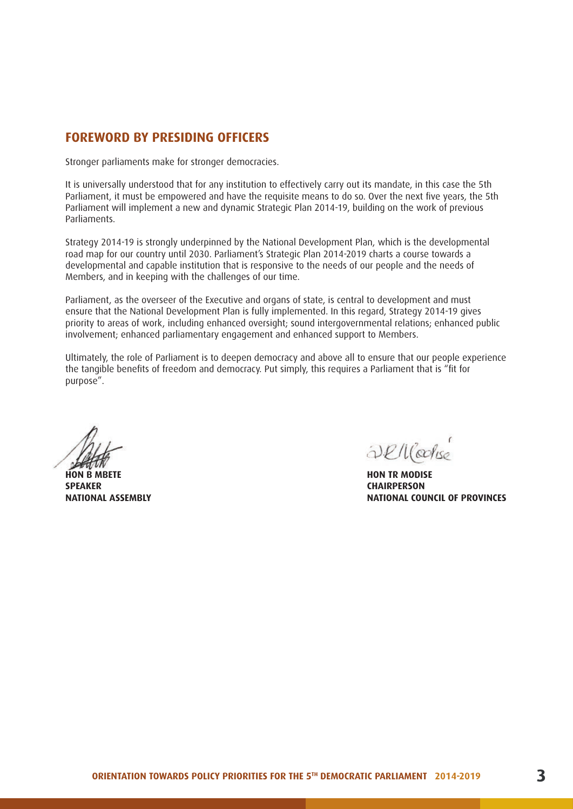#### **FOREWORD BY PRESIDING OFFICERS**

Stronger parliaments make for stronger democracies.

It is universally understood that for any institution to effectively carry out its mandate, in this case the 5th Parliament, it must be empowered and have the requisite means to do so. Over the next five years, the 5th Parliament will implement a new and dynamic Strategic Plan 2014-19, building on the work of previous Parliaments.

Strategy 2014-19 is strongly underpinned by the National Development Plan, which is the developmental road map for our country until 2030. Parliament's Strategic Plan 2014-2019 charts a course towards a developmental and capable institution that is responsive to the needs of our people and the needs of Members, and in keeping with the challenges of our time.

Parliament, as the overseer of the Executive and organs of state, is central to development and must ensure that the National Development Plan is fully implemented. In this regard, Strategy 2014-19 gives priority to areas of work, including enhanced oversight; sound intergovernmental relations; enhanced public involvement; enhanced parliamentary engagement and enhanced support to Members.

Ultimately, the role of Parliament is to deepen democracy and above all to ensure that our people experience the tangible benefits of freedom and democracy. Put simply, this requires a Parliament that is "fit for purpose".

**HON B MBETE SPEAKER NATIONAL ASSEMBLY**

Dencoduse

**HON TR MODISE CHAIRPERSON NATIONAL COUNCIL OF PROVINCES**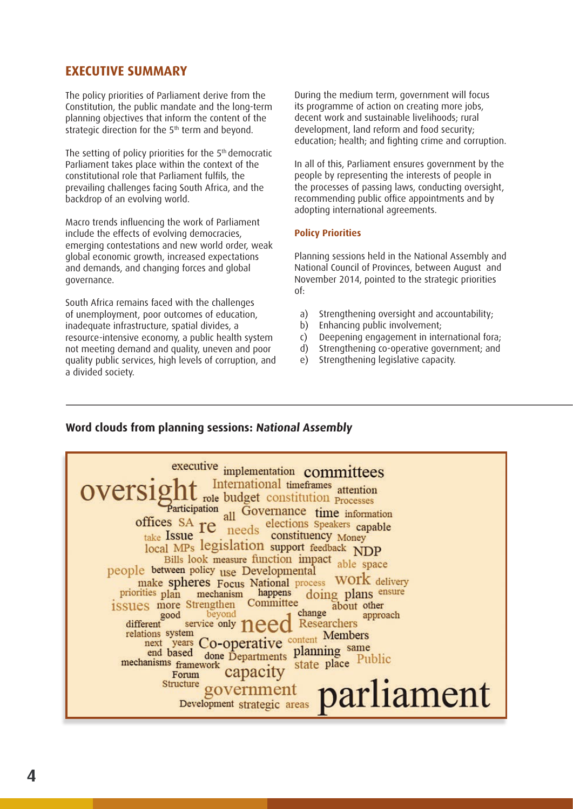#### **EXECUTIVE SUMMARY**

The policy priorities of Parliament derive from the Constitution, the public mandate and the long-term planning objectives that inform the content of the strategic direction for the 5<sup>th</sup> term and beyond.

The setting of policy priorities for the 5<sup>th</sup> democratic Parliament takes place within the context of the constitutional role that Parliament fulfils, the prevailing challenges facing South Africa, and the backdrop of an evolving world.

Macro trends influencing the work of Parliament include the effects of evolving democracies, emerging contestations and new world order, weak global economic growth, increased expectations and demands, and changing forces and global governance.

South Africa remains faced with the challenges of unemployment, poor outcomes of education, inadequate infrastructure, spatial divides, a resource-intensive economy, a public health system not meeting demand and quality, uneven and poor quality public services, high levels of corruption, and a divided society.

During the medium term, government will focus its programme of action on creating more jobs, decent work and sustainable livelihoods; rural development, land reform and food security; education; health; and fighting crime and corruption.

In all of this, Parliament ensures government by the people by representing the interests of people in the processes of passing laws, conducting oversight, recommending public office appointments and by adopting international agreements.

#### **Policy Priorities**

Planning sessions held in the National Assembly and National Council of Provinces, between August and November 2014, pointed to the strategic priorities of:

- a) Strengthening oversight and accountability:
- b) Enhancing public involvement:
- c) Deepening engagement in international fora;
- d) Strengthening co-operative government; and
- e) Strengthening legislative capacity.

#### **Word clouds from planning sessions: National Assembly**

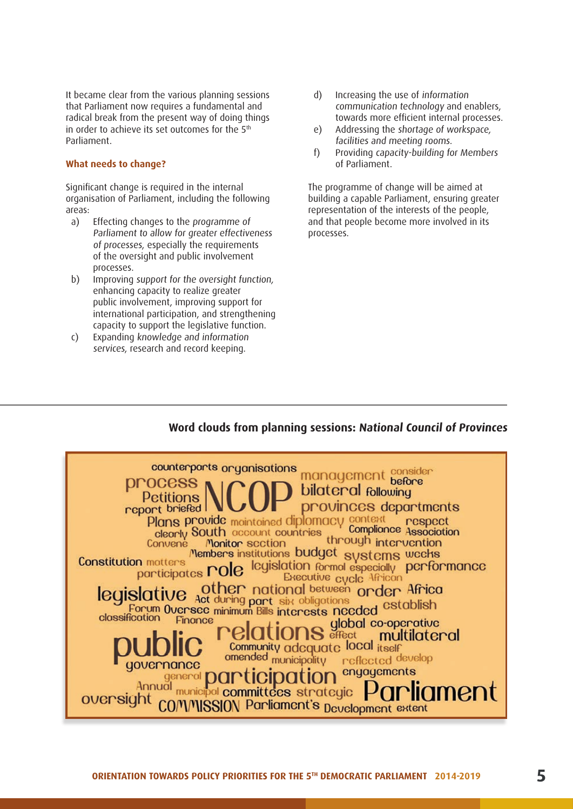It became clear from the various planning sessions that Parliament now requires a fundamental and radical break from the present way of doing things in order to achieve its set outcomes for the  $5<sup>th</sup>$ Parliament.

#### **What needs to change?**

Significant change is required in the internal organisation of Parliament, including the following areas:

- a) Effecting changes to the programme of Parliament to allow for greater effectiveness of processes, especially the requirements of the oversight and public involvement processes.
- b) Improving support for the oversight function, enhancing capacity to realize greater public involvement, improving support for international participation, and strengthening capacity to support the legislative function.
- c) Expanding knowledge and information services, research and record keeping.
- d) Increasing the use of information communication technology and enablers, towards more efficient internal processes.
- e) Addressing the shortage of workspace, facilities and meeting rooms.
- f) Providing capacity-building for Members of Parliament.

The programme of change will be aimed at building a capable Parliament, ensuring greater representation of the interests of the people, and that people become more involved in its processes.

#### **Word clouds from planning sessions: National Council of Provinces**

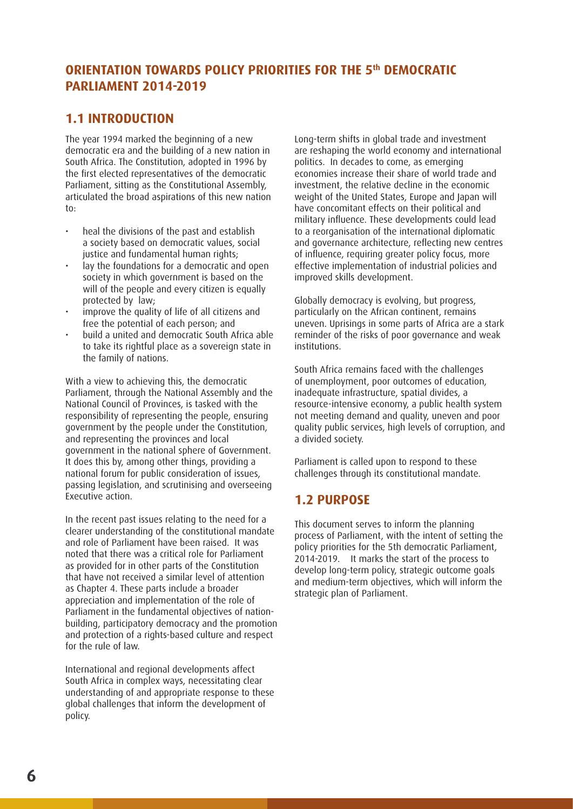## **ORIENTATION TOWARDS POLICY PRIORITIES FOR THE 5<sup>th</sup> DEMOCRATIC PARLIAMENT 2014-2019**

#### **1.1 INTRODUCTION**

The year 1994 marked the beginning of a new democratic era and the building of a new nation in South Africa. The Constitution, adopted in 1996 by the first elected representatives of the democratic Parliament, sitting as the Constitutional Assembly, articulated the broad aspirations of this new nation to:

- heal the divisions of the past and establish a society based on democratic values, social justice and fundamental human rights;
- lay the foundations for a democratic and open society in which government is based on the will of the people and every citizen is equally protected by law;
- improve the quality of life of all citizens and free the potential of each person; and
- build a united and democratic South Africa able to take its rightful place as a sovereign state in the family of nations.

With a view to achieving this, the democratic Parliament, through the National Assembly and the National Council of Provinces, is tasked with the responsibility of representing the people, ensuring government by the people under the Constitution, and representing the provinces and local government in the national sphere of Government. It does this by, among other things, providing a national forum for public consideration of issues, passing legislation, and scrutinising and overseeing Executive action.

In the recent past issues relating to the need for a clearer understanding of the constitutional mandate and role of Parliament have been raised. It was noted that there was a critical role for Parliament as provided for in other parts of the Constitution that have not received a similar level of attention as Chapter 4. These parts include a broader appreciation and implementation of the role of Parliament in the fundamental objectives of nationbuilding, participatory democracy and the promotion and protection of a rights-based culture and respect for the rule of law.

International and regional developments affect South Africa in complex ways, necessitating clear understanding of and appropriate response to these global challenges that inform the development of policy.

Long-term shifts in global trade and investment are reshaping the world economy and international politics. In decades to come, as emerging economies increase their share of world trade and investment, the relative decline in the economic weight of the United States, Europe and Japan will have concomitant effects on their political and military influence. These developments could lead to a reorganisation of the international diplomatic and governance architecture, reflecting new centres of influence, requiring greater policy focus, more effective implementation of industrial policies and improved skills development.

Globally democracy is evolving, but progress, particularly on the African continent, remains uneven. Uprisings in some parts of Africa are a stark reminder of the risks of poor governance and weak institutions.

South Africa remains faced with the challenges of unemployment, poor outcomes of education, inadequate infrastructure, spatial divides, a resource-intensive economy, a public health system not meeting demand and quality, uneven and poor quality public services, high levels of corruption, and a divided society.

Parliament is called upon to respond to these challenges through its constitutional mandate.

## **1.2 PURPOSE**

This document serves to inform the planning process of Parliament, with the intent of setting the policy priorities for the 5th democratic Parliament, 2014-2019. It marks the start of the process to develop long-term policy, strategic outcome goals and medium-term objectives, which will inform the strategic plan of Parliament.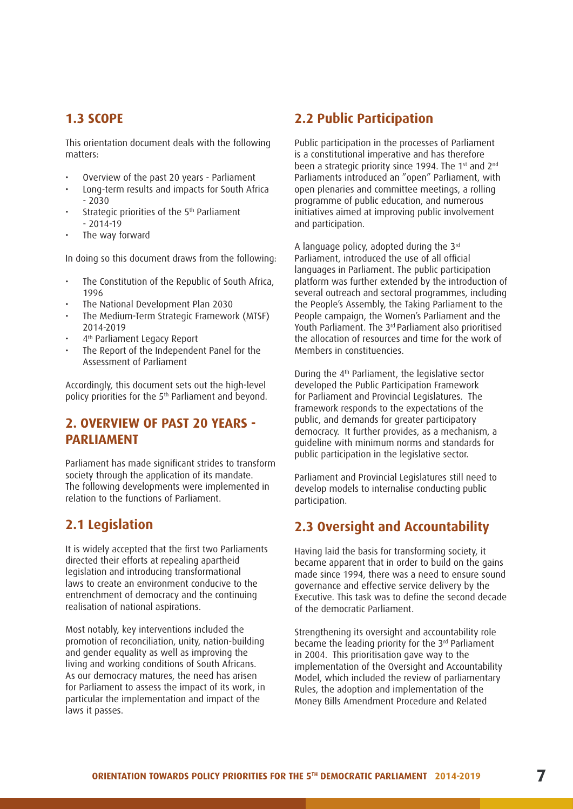#### **1.3 SCOPE**

This orientation document deals with the following matters:

- Overview of the past 20 years Parliament
- Long-term results and impacts for South Africa - 2030
- Strategic priorities of the 5<sup>th</sup> Parliament  $-2014-19$
- The way forward

In doing so this document draws from the following:

- The Constitution of the Republic of South Africa, 1996
- The National Development Plan 2030
- The Medium-Term Strategic Framework (MTSF) 2014-2019
- 4<sup>th</sup> Parliament Legacy Report
- The Report of the Independent Panel for the Assessment of Parliament

Accordingly, this document sets out the high-level policy priorities for the 5th Parliament and beyond.

#### **2. OVERVIEW OF PAST 20 YEARS - PARLIAMENT**

Parliament has made significant strides to transform society through the application of its mandate. The following developments were implemented in relation to the functions of Parliament.

#### **2.1 Legislation**

It is widely accepted that the first two Parliaments directed their efforts at repealing apartheid legislation and introducing transformational laws to create an environment conducive to the entrenchment of democracy and the continuing realisation of national aspirations.

Most notably, key interventions included the promotion of reconciliation, unity, nation-building and gender equality as well as improving the living and working conditions of South Africans. As our democracy matures, the need has arisen for Parliament to assess the impact of its work, in particular the implementation and impact of the laws it passes.

#### **2.2 Public Participation**

Public participation in the processes of Parliament is a constitutional imperative and has therefore been a strategic priority since 1994. The 1<sup>st</sup> and 2<sup>nd</sup> Parliaments introduced an "open" Parliament, with open plenaries and committee meetings, a rolling programme of public education, and numerous initiatives aimed at improving public involvement and participation.

A language policy, adopted during the 3rd Parliament, introduced the use of all official languages in Parliament. The public participation platform was further extended by the introduction of several outreach and sectoral programmes, including the People's Assembly, the Taking Parliament to the People campaign, the Women's Parliament and the Youth Parliament. The 3<sup>rd</sup> Parliament also prioritised the allocation of resources and time for the work of Members in constituencies.

During the 4th Parliament, the legislative sector developed the Public Participation Framework for Parliament and Provincial Legislatures. The framework responds to the expectations of the public, and demands for greater participatory democracy. It further provides, as a mechanism, a guideline with minimum norms and standards for public participation in the legislative sector.

Parliament and Provincial Legislatures still need to develop models to internalise conducting public participation.

#### **2.3 Oversight and Accountability**

Having laid the basis for transforming society, it became apparent that in order to build on the gains made since 1994, there was a need to ensure sound governance and effective service delivery by the Executive. This task was to define the second decade of the democratic Parliament.

Strengthening its oversight and accountability role became the leading priority for the 3<sup>rd</sup> Parliament in 2004. This prioritisation gave way to the implementation of the Oversight and Accountability Model, which included the review of parliamentary Rules, the adoption and implementation of the Money Bills Amendment Procedure and Related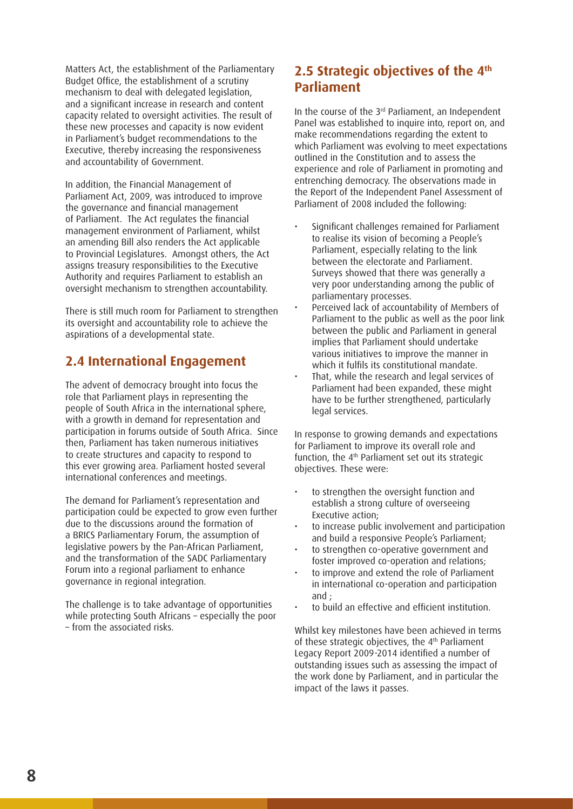Matters Act, the establishment of the Parliamentary Budget Office, the establishment of a scrutiny mechanism to deal with delegated legislation, and a significant increase in research and content capacity related to oversight activities. The result of these new processes and capacity is now evident in Parliament's budget recommendations to the Executive, thereby increasing the responsiveness and accountability of Government.

In addition, the Financial Management of Parliament Act, 2009, was introduced to improve the governance and financial management of Parliament. The Act regulates the financial management environment of Parliament, whilst an amending Bill also renders the Act applicable to Provincial Legislatures. Amongst others, the Act assigns treasury responsibilities to the Executive Authority and requires Parliament to establish an oversight mechanism to strengthen accountability.

There is still much room for Parliament to strengthen its oversight and accountability role to achieve the aspirations of a developmental state.

#### **2.4 International Engagement**

The advent of democracy brought into focus the role that Parliament plays in representing the people of South Africa in the international sphere, with a growth in demand for representation and participation in forums outside of South Africa. Since then, Parliament has taken numerous initiatives to create structures and capacity to respond to this ever growing area. Parliament hosted several international conferences and meetings.

The demand for Parliament's representation and participation could be expected to grow even further due to the discussions around the formation of a BRICS Parliamentary Forum, the assumption of legislative powers by the Pan-African Parliament, and the transformation of the SADC Parliamentary Forum into a regional parliament to enhance governance in regional integration.

The challenge is to take advantage of opportunities while protecting South Africans – especially the poor – from the associated risks.

# **2.5 Strategic objectives of the 4th Parliament**

In the course of the 3<sup>rd</sup> Parliament, an Independent Panel was established to inquire into, report on, and make recommendations regarding the extent to which Parliament was evolving to meet expectations outlined in the Constitution and to assess the experience and role of Parliament in promoting and entrenching democracy. The observations made in the Report of the Independent Panel Assessment of Parliament of 2008 included the following:

- Significant challenges remained for Parliament to realise its vision of becoming a People's Parliament, especially relating to the link between the electorate and Parliament. Surveys showed that there was generally a very poor understanding among the public of parliamentary processes.
- Perceived lack of accountability of Members of Parliament to the public as well as the poor link between the public and Parliament in general implies that Parliament should undertake various initiatives to improve the manner in which it fulfils its constitutional mandate.
- That, while the research and legal services of Parliament had been expanded, these might have to be further strengthened, particularly legal services.

In response to growing demands and expectations for Parliament to improve its overall role and function, the 4<sup>th</sup> Parliament set out its strategic objectives. These were:

- to strengthen the oversight function and establish a strong culture of overseeing Executive action;
- to increase public involvement and participation and build a responsive People's Parliament;
- to strengthen co-operative government and foster improved co-operation and relations;
- to improve and extend the role of Parliament in international co-operation and participation and  $\cdot$
- to build an effective and efficient institution.

Whilst key milestones have been achieved in terms of these strategic objectives, the 4<sup>th</sup> Parliament Legacy Report 2009-2014 identified a number of outstanding issues such as assessing the impact of the work done by Parliament, and in particular the impact of the laws it passes.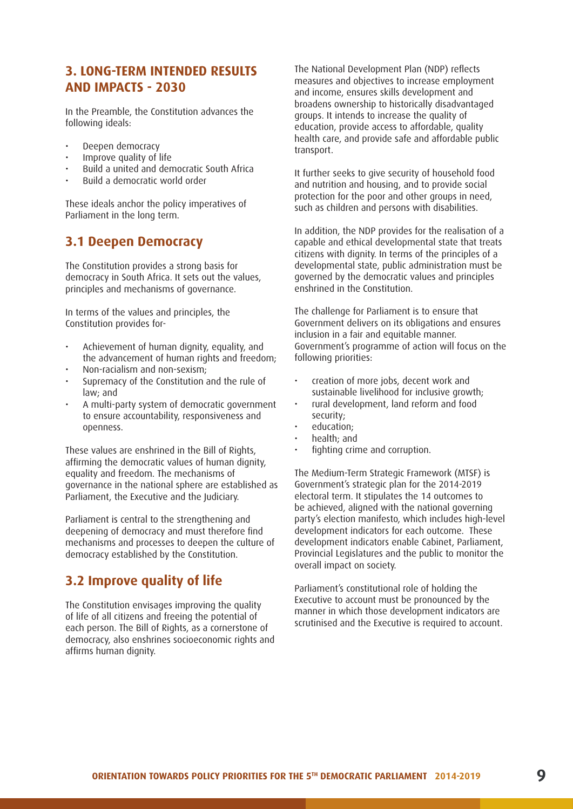#### **3. LONG-TERM INTENDED RESULTS AND IMPACTS - 2030**

In the Preamble, the Constitution advances the following ideals:

- Deepen democracy
- Improve quality of life
- Build a united and democratic South Africa
- Build a democratic world order

These ideals anchor the policy imperatives of Parliament in the long term.

#### **3.1 Deepen Democracy**

The Constitution provides a strong basis for democracy in South Africa. It sets out the values, principles and mechanisms of governance.

In terms of the values and principles, the Constitution provides for-

- Achievement of human dignity, equality, and the advancement of human rights and freedom;
- Non-racialism and non-sexism;
- Supremacy of the Constitution and the rule of law; and
- A multi-party system of democratic government to ensure accountability, responsiveness and openness.

These values are enshrined in the Bill of Rights, affirming the democratic values of human dignity, equality and freedom. The mechanisms of governance in the national sphere are established as Parliament, the Executive and the Judiciary.

Parliament is central to the strengthening and deepening of democracy and must therefore find mechanisms and processes to deepen the culture of democracy established by the Constitution.

## **3.2 Improve quality of life**

The Constitution envisages improving the quality of life of all citizens and freeing the potential of each person. The Bill of Rights, as a cornerstone of democracy, also enshrines socioeconomic rights and affirms human dignity.

The National Development Plan (NDP) reflects measures and objectives to increase employment and income, ensures skills development and broadens ownership to historically disadvantaged groups. It intends to increase the quality of education, provide access to affordable, quality health care, and provide safe and affordable public transport.

It further seeks to give security of household food and nutrition and housing, and to provide social protection for the poor and other groups in need, such as children and persons with disabilities.

In addition, the NDP provides for the realisation of a capable and ethical developmental state that treats citizens with dignity. In terms of the principles of a developmental state, public administration must be governed by the democratic values and principles enshrined in the Constitution.

The challenge for Parliament is to ensure that Government delivers on its obligations and ensures inclusion in a fair and equitable manner. Government's programme of action will focus on the following priorities:

- creation of more jobs, decent work and sustainable livelihood for inclusive growth;
- rural development, land reform and food security;
- education;
- health; and
- fighting crime and corruption.

The Medium-Term Strategic Framework (MTSF) is Government's strategic plan for the 2014-2019 electoral term. It stipulates the 14 outcomes to be achieved, aligned with the national governing party's election manifesto, which includes high-level development indicators for each outcome. These development indicators enable Cabinet, Parliament, Provincial Legislatures and the public to monitor the overall impact on society.

Parliament's constitutional role of holding the Executive to account must be pronounced by the manner in which those development indicators are scrutinised and the Executive is required to account.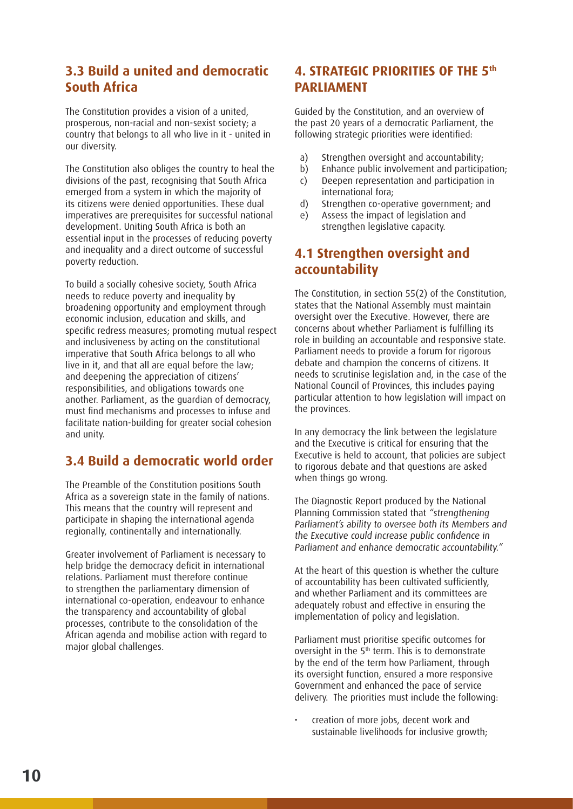## **3.3 Build a united and democratic South Africa**

The Constitution provides a vision of a united, prosperous, non-racial and non-sexist society; a country that belongs to all who live in it - united in our diversity.

The Constitution also obliges the country to heal the divisions of the past, recognising that South Africa emerged from a system in which the majority of its citizens were denied opportunities. These dual imperatives are prerequisites for successful national development. Uniting South Africa is both an essential input in the processes of reducing poverty and inequality and a direct outcome of successful poverty reduction.

To build a socially cohesive society, South Africa needs to reduce poverty and inequality by broadening opportunity and employment through economic inclusion, education and skills, and specific redress measures; promoting mutual respect and inclusiveness by acting on the constitutional imperative that South Africa belongs to all who live in it, and that all are equal before the law; and deepening the appreciation of citizens' responsibilities, and obligations towards one another. Parliament, as the guardian of democracy, must find mechanisms and processes to infuse and facilitate nation-building for greater social cohesion and unity.

# **3.4 Build a democratic world order**

The Preamble of the Constitution positions South Africa as a sovereign state in the family of nations. This means that the country will represent and participate in shaping the international agenda regionally, continentally and internationally.

Greater involvement of Parliament is necessary to help bridge the democracy deficit in international relations. Parliament must therefore continue to strengthen the parliamentary dimension of international co-operation, endeavour to enhance the transparency and accountability of global processes, contribute to the consolidation of the African agenda and mobilise action with regard to major global challenges.

#### **4. STRATEGIC PRIORITIES OF THE 5th PARLIAMENT**

Guided by the Constitution, and an overview of the past 20 years of a democratic Parliament, the following strategic priorities were identified:

- a) Strengthen oversight and accountability;
- b) Enhance public involvement and participation;
- c) Deepen representation and participation in international fora;
- d) Strengthen co-operative government; and
- e) Assess the impact of legislation and strengthen legislative capacity.

### **4.1 Strengthen oversight and accountability**

The Constitution, in section 55(2) of the Constitution, states that the National Assembly must maintain oversight over the Executive. However, there are concerns about whether Parliament is fulfilling its role in building an accountable and responsive state. Parliament needs to provide a forum for rigorous debate and champion the concerns of citizens. It needs to scrutinise legislation and, in the case of the National Council of Provinces, this includes paying particular attention to how legislation will impact on the provinces.

In any democracy the link between the legislature and the Executive is critical for ensuring that the Executive is held to account, that policies are subject to rigorous debate and that questions are asked when things go wrong.

The Diagnostic Report produced by the National Planning Commission stated that "strengthening Parliament's ability to oversee both its Members and the Executive could increase public confidence in Parliament and enhance democratic accountability."

At the heart of this question is whether the culture of accountability has been cultivated sufficiently, and whether Parliament and its committees are adequately robust and effective in ensuring the implementation of policy and legislation.

Parliament must prioritise specific outcomes for oversight in the  $5<sup>th</sup>$  term. This is to demonstrate by the end of the term how Parliament, through its oversight function, ensured a more responsive Government and enhanced the pace of service delivery. The priorities must include the following:

• creation of more jobs, decent work and sustainable livelihoods for inclusive growth;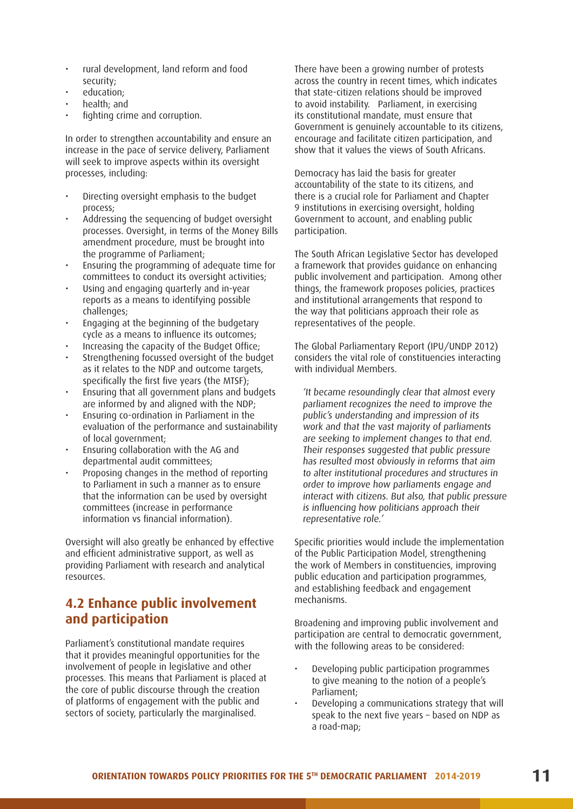- rural development, land reform and food security;
- education;
- health; and
- fighting crime and corruption.

In order to strengthen accountability and ensure an increase in the pace of service delivery, Parliament will seek to improve aspects within its oversight processes, including:

- Directing oversight emphasis to the budget process;
- Addressing the sequencing of budget oversight processes. Oversight, in terms of the Money Bills amendment procedure, must be brought into the programme of Parliament;
- Ensuring the programming of adequate time for committees to conduct its oversight activities;
- Using and engaging quarterly and in-year reports as a means to identifying possible challenges;
- Engaging at the beginning of the budgetary cycle as a means to influence its outcomes;
- Increasing the capacity of the Budget Office;
- Strengthening focussed oversight of the budget as it relates to the NDP and outcome targets, specifically the first five years (the MTSF);
- Ensuring that all government plans and budgets are informed by and aligned with the NDP;
- Ensuring co-ordination in Parliament in the evaluation of the performance and sustainability of local government;
- Ensuring collaboration with the AG and departmental audit committees;
- Proposing changes in the method of reporting to Parliament in such a manner as to ensure that the information can be used by oversight committees (increase in performance information vs financial information).

Oversight will also greatly be enhanced by effective and efficient administrative support, as well as providing Parliament with research and analytical resources.

# **4.2 Enhance public involvement and participation**

Parliament's constitutional mandate requires that it provides meaningful opportunities for the involvement of people in legislative and other processes. This means that Parliament is placed at the core of public discourse through the creation of platforms of engagement with the public and sectors of society, particularly the marginalised.

There have been a growing number of protests across the country in recent times, which indicates that state-citizen relations should be improved to avoid instability. Parliament, in exercising its constitutional mandate, must ensure that Government is genuinely accountable to its citizens, encourage and facilitate citizen participation, and show that it values the views of South Africans.

Democracy has laid the basis for greater accountability of the state to its citizens, and there is a crucial role for Parliament and Chapter 9 institutions in exercising oversight, holding Government to account, and enabling public participation.

The South African Legislative Sector has developed a framework that provides guidance on enhancing public involvement and participation. Among other things, the framework proposes policies, practices and institutional arrangements that respond to the way that politicians approach their role as representatives of the people.

The Global Parliamentary Report (IPU/UNDP 2012) considers the vital role of constituencies interacting with individual Members.

'It became resoundingly clear that almost every parliament recognizes the need to improve the public's understanding and impression of its work and that the vast majority of parliaments are seeking to implement changes to that end. Their responses suggested that public pressure has resulted most obviously in reforms that aim to alter institutional procedures and structures in order to improve how parliaments engage and interact with citizens. But also, that public pressure is influencing how politicians approach their representative role.'

Specific priorities would include the implementation of the Public Participation Model, strengthening the work of Members in constituencies, improving public education and participation programmes, and establishing feedback and engagement mechanisms.

Broadening and improving public involvement and participation are central to democratic government, with the following areas to be considered:

- Developing public participation programmes to give meaning to the notion of a people's Parliament;
- Developing a communications strategy that will speak to the next five years – based on NDP as a road-map;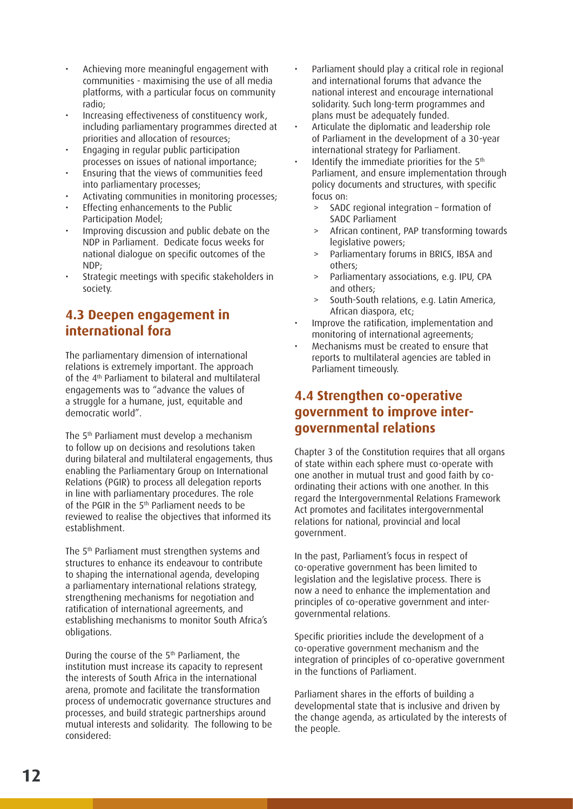- Achieving more meaningful engagement with communities - maximising the use of all media platforms, with a particular focus on community radio;
- Increasing effectiveness of constituency work, including parliamentary programmes directed at priorities and allocation of resources;
- Engaging in regular public participation processes on issues of national importance;
- Ensuring that the views of communities feed into parliamentary processes;
- Activating communities in monitoring processes;
- Effecting enhancements to the Public Participation Model;
- Improving discussion and public debate on the NDP in Parliament. Dedicate focus weeks for national dialogue on specific outcomes of the NDP;
- Strategic meetings with specific stakeholders in society.

# **4.3 Deepen engagement in international fora**

The parliamentary dimension of international relations is extremely important. The approach of the 4th Parliament to bilateral and multilateral engagements was to "advance the values of a struggle for a humane, just, equitable and democratic world".

The 5th Parliament must develop a mechanism to follow up on decisions and resolutions taken during bilateral and multilateral engagements, thus enabling the Parliamentary Group on International Relations (PGIR) to process all delegation reports in line with parliamentary procedures. The role of the PGIR in the 5<sup>th</sup> Parliament needs to be reviewed to realise the objectives that informed its establishment.

The 5th Parliament must strengthen systems and structures to enhance its endeavour to contribute to shaping the international agenda, developing a parliamentary international relations strategy, strengthening mechanisms for negotiation and ratification of international agreements, and establishing mechanisms to monitor South Africa's obligations.

During the course of the 5th Parliament, the institution must increase its capacity to represent the interests of South Africa in the international arena, promote and facilitate the transformation process of undemocratic governance structures and processes, and build strategic partnerships around mutual interests and solidarity. The following to be considered:

- Parliament should play a critical role in regional and international forums that advance the national interest and encourage international solidarity. Such long-term programmes and plans must be adequately funded.
- Articulate the diplomatic and leadership role of Parliament in the development of a 30-year international strategy for Parliament.
- Identify the immediate priorities for the 5<sup>th</sup> Parliament, and ensure implementation through policy documents and structures, with specific focus on:
	- > SADC regional integration formation of SADC Parliament
	- > African continent, PAP transforming towards legislative powers;
	- Parliamentary forums in BRICS, IBSA and others;
	- > Parliamentary associations, e.g. IPU, CPA and others;
	- > South-South relations, e.g. Latin America, African diaspora, etc;
- Improve the ratification, implementation and monitoring of international agreements;
- Mechanisms must be created to ensure that reports to multilateral agencies are tabled in Parliament timeously.

## **4.4 Strengthen co-operative government to improve intergovernmental relations**

Chapter 3 of the Constitution requires that all organs of state within each sphere must co-operate with one another in mutual trust and good faith by coordinating their actions with one another. In this regard the Intergovernmental Relations Framework Act promotes and facilitates intergovernmental relations for national, provincial and local government.

In the past, Parliament's focus in respect of co-operative government has been limited to legislation and the legislative process. There is now a need to enhance the implementation and principles of co-operative government and intergovernmental relations.

Specific priorities include the development of a co-operative government mechanism and the integration of principles of co-operative government in the functions of Parliament.

Parliament shares in the efforts of building a developmental state that is inclusive and driven by the change agenda, as articulated by the interests of the people.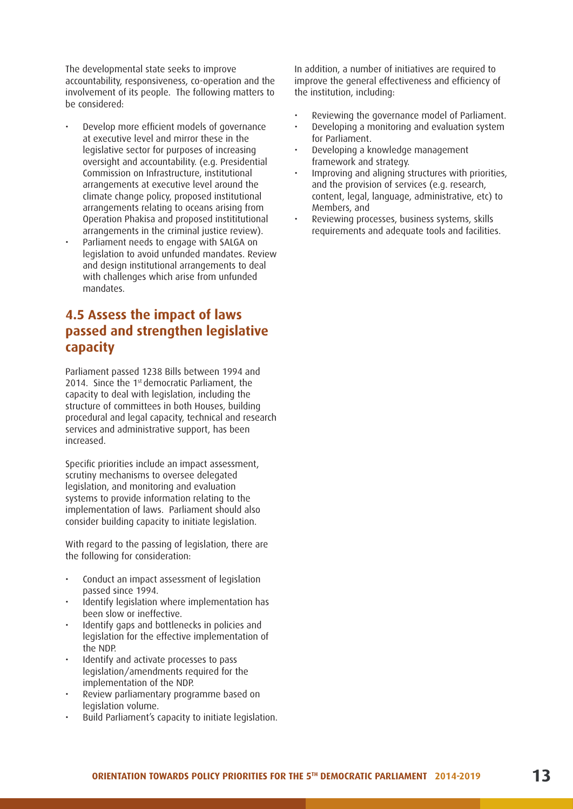The developmental state seeks to improve accountability, responsiveness, co-operation and the involvement of its people. The following matters to be considered:

- Develop more efficient models of governance at executive level and mirror these in the legislative sector for purposes of increasing oversight and accountability. (e.g. Presidential Commission on Infrastructure, institutional arrangements at executive level around the climate change policy, proposed institutional arrangements relating to oceans arising from Operation Phakisa and proposed instititutional arrangements in the criminal justice review).
- Parliament needs to engage with SALGA on legislation to avoid unfunded mandates. Review and design institutional arrangements to deal with challenges which arise from unfunded mandates.

# **4.5 Assess the impact of laws passed and strengthen legislative capacity**

Parliament passed 1238 Bills between 1994 and 2014. Since the 1<sup>st</sup> democratic Parliament, the capacity to deal with legislation, including the structure of committees in both Houses, building procedural and legal capacity, technical and research services and administrative support, has been increased.

Specific priorities include an impact assessment, scrutiny mechanisms to oversee delegated legislation, and monitoring and evaluation systems to provide information relating to the implementation of laws. Parliament should also consider building capacity to initiate legislation.

With regard to the passing of legislation, there are the following for consideration:

- Conduct an impact assessment of legislation passed since 1994.
- Identify legislation where implementation has been slow or ineffective.
- Identify gaps and bottlenecks in policies and legislation for the effective implementation of the NDP.
- Identify and activate processes to pass legislation/amendments required for the implementation of the NDP.
- Review parliamentary programme based on legislation volume.
- Build Parliament's capacity to initiate legislation.

In addition, a number of initiatives are required to improve the general effectiveness and efficiency of the institution, including:

- Reviewing the governance model of Parliament.
- Developing a monitoring and evaluation system for Parliament.
- Developing a knowledge management framework and strategy.
- Improving and aligning structures with priorities, and the provision of services (e.g. research, content, legal, language, administrative, etc) to Members, and
- Reviewing processes, business systems, skills requirements and adequate tools and facilities.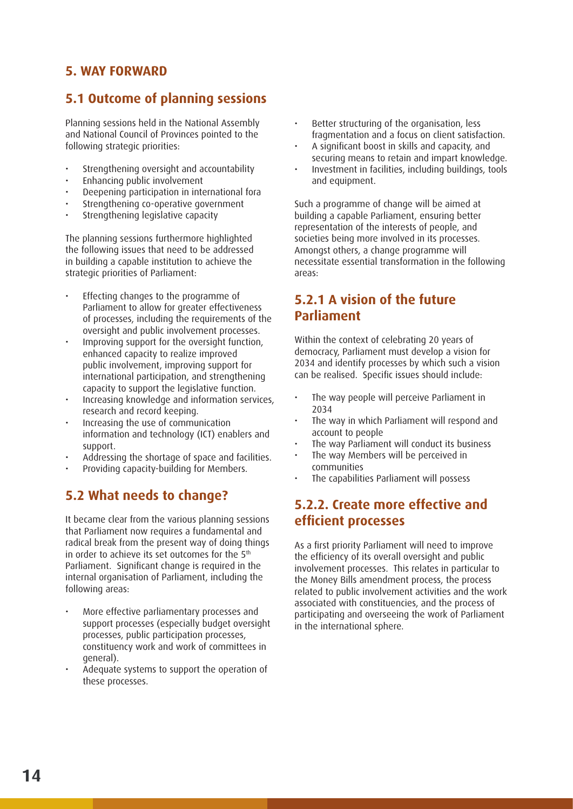# **5. WAY FORWARD**

# **5.1 Outcome of planning sessions**

Planning sessions held in the National Assembly and National Council of Provinces pointed to the following strategic priorities:

- Strengthening oversight and accountability
- Enhancing public involvement
- Deepening participation in international fora
- Strengthening co-operative government
- Strengthening legislative capacity

The planning sessions furthermore highlighted the following issues that need to be addressed in building a capable institution to achieve the strategic priorities of Parliament:

- Effecting changes to the programme of Parliament to allow for greater effectiveness of processes, including the requirements of the oversight and public involvement processes.
- Improving support for the oversight function, enhanced capacity to realize improved public involvement, improving support for international participation, and strengthening capacity to support the legislative function.
- Increasing knowledge and information services, research and record keeping.
- Increasing the use of communication information and technology (ICT) enablers and support.
- Addressing the shortage of space and facilities.
- Providing capacity-building for Members.

# **5.2 What needs to change?**

It became clear from the various planning sessions that Parliament now requires a fundamental and radical break from the present way of doing things in order to achieve its set outcomes for the 5<sup>th</sup> Parliament. Significant change is required in the internal organisation of Parliament, including the following areas:

- More effective parliamentary processes and support processes (especially budget oversight processes, public participation processes, constituency work and work of committees in general).
- Adequate systems to support the operation of these processes.
- Better structuring of the organisation, less fragmentation and a focus on client satisfaction.
- A significant boost in skills and capacity, and securing means to retain and impart knowledge.
- Investment in facilities, including buildings, tools and equipment.

Such a programme of change will be aimed at building a capable Parliament, ensuring better representation of the interests of people, and societies being more involved in its processes. Amongst others, a change programme will necessitate essential transformation in the following areas:

# **5.2.1 A vision of the future Parliament**

Within the context of celebrating 20 years of democracy, Parliament must develop a vision for 2034 and identify processes by which such a vision can be realised. Specific issues should include:

- The way people will perceive Parliament in 2034
- The way in which Parliament will respond and account to people
- The way Parliament will conduct its business
- The way Members will be perceived in communities
- The capabilities Parliament will possess

# **5.2.2. Create more effective and efficient processes**

As a first priority Parliament will need to improve the efficiency of its overall oversight and public involvement processes. This relates in particular to the Money Bills amendment process, the process related to public involvement activities and the work associated with constituencies, and the process of participating and overseeing the work of Parliament in the international sphere.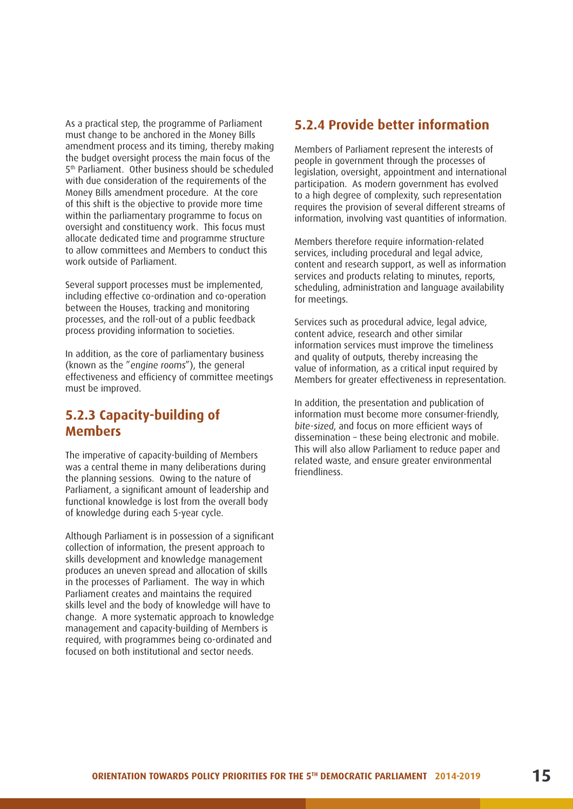As a practical step, the programme of Parliament must change to be anchored in the Money Bills amendment process and its timing, thereby making the budget oversight process the main focus of the 5th Parliament. Other business should be scheduled with due consideration of the requirements of the Money Bills amendment procedure. At the core of this shift is the objective to provide more time within the parliamentary programme to focus on oversight and constituency work. This focus must allocate dedicated time and programme structure to allow committees and Members to conduct this work outside of Parliament.

Several support processes must be implemented, including effective co-ordination and co-operation between the Houses, tracking and monitoring processes, and the roll-out of a public feedback process providing information to societies.

In addition, as the core of parliamentary business (known as the "engine rooms"), the general effectiveness and efficiency of committee meetings must be improved.

#### **5.2.3 Capacity-building of Members**

The imperative of capacity-building of Members was a central theme in many deliberations during the planning sessions. Owing to the nature of Parliament, a significant amount of leadership and functional knowledge is lost from the overall body of knowledge during each 5-year cycle.

Although Parliament is in possession of a significant collection of information, the present approach to skills development and knowledge management produces an uneven spread and allocation of skills in the processes of Parliament. The way in which Parliament creates and maintains the required skills level and the body of knowledge will have to change. A more systematic approach to knowledge management and capacity-building of Members is required, with programmes being co-ordinated and focused on both institutional and sector needs.

#### **5.2.4 Provide better information**

Members of Parliament represent the interests of people in government through the processes of legislation, oversight, appointment and international participation. As modern government has evolved to a high degree of complexity, such representation requires the provision of several different streams of information, involving vast quantities of information.

Members therefore require information-related services, including procedural and legal advice, content and research support, as well as information services and products relating to minutes, reports, scheduling, administration and language availability for meetings.

Services such as procedural advice, legal advice, content advice, research and other similar information services must improve the timeliness and quality of outputs, thereby increasing the value of information, as a critical input required by Members for greater effectiveness in representation.

In addition, the presentation and publication of information must become more consumer-friendly, bite-sized, and focus on more efficient ways of dissemination – these being electronic and mobile. This will also allow Parliament to reduce paper and related waste, and ensure greater environmental friendliness.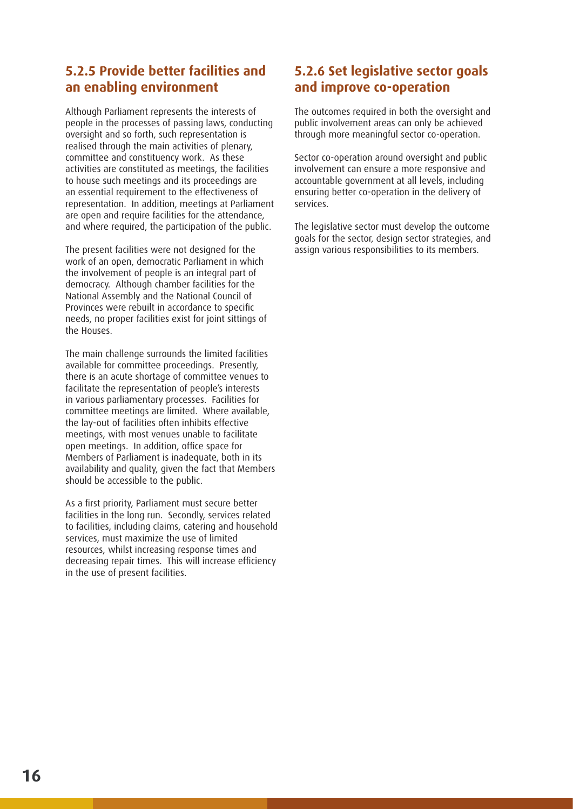# **5.2.5 Provide better facilities and an enabling environment**

Although Parliament represents the interests of people in the processes of passing laws, conducting oversight and so forth, such representation is realised through the main activities of plenary, committee and constituency work. As these activities are constituted as meetings, the facilities to house such meetings and its proceedings are an essential requirement to the effectiveness of representation. In addition, meetings at Parliament are open and require facilities for the attendance, and where required, the participation of the public.

The present facilities were not designed for the work of an open, democratic Parliament in which the involvement of people is an integral part of democracy. Although chamber facilities for the National Assembly and the National Council of Provinces were rebuilt in accordance to specific needs, no proper facilities exist for joint sittings of the Houses.

The main challenge surrounds the limited facilities available for committee proceedings. Presently, there is an acute shortage of committee venues to facilitate the representation of people's interests in various parliamentary processes. Facilities for committee meetings are limited. Where available, the lay-out of facilities often inhibits effective meetings, with most venues unable to facilitate open meetings. In addition, office space for Members of Parliament is inadequate, both in its availability and quality, given the fact that Members should be accessible to the public.

As a first priority, Parliament must secure better facilities in the long run. Secondly, services related to facilities, including claims, catering and household services, must maximize the use of limited resources, whilst increasing response times and decreasing repair times. This will increase efficiency in the use of present facilities.

# **5.2.6 Set legislative sector goals and improve co-operation**

The outcomes required in both the oversight and public involvement areas can only be achieved through more meaningful sector co-operation.

Sector co-operation around oversight and public involvement can ensure a more responsive and accountable government at all levels, including ensuring better co-operation in the delivery of services.

The legislative sector must develop the outcome goals for the sector, design sector strategies, and assign various responsibilities to its members.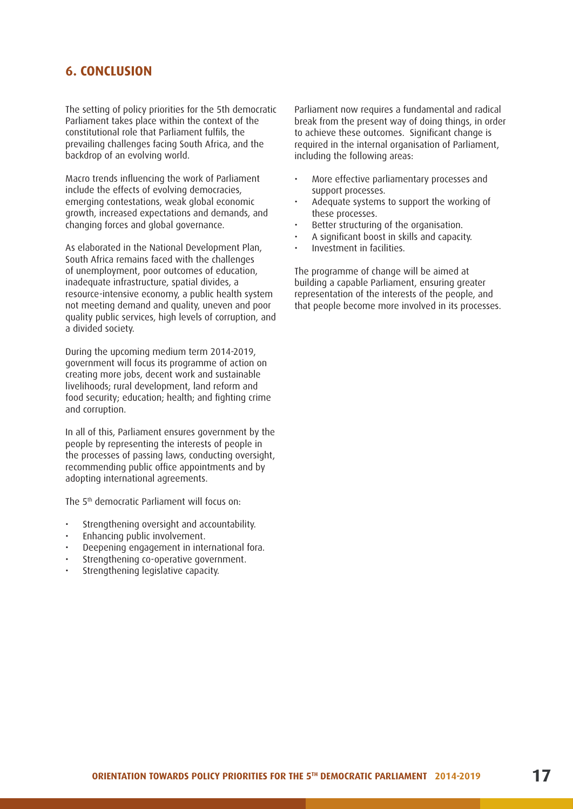#### **6. CONCLUSION**

The setting of policy priorities for the 5th democratic Parliament takes place within the context of the constitutional role that Parliament fulfils, the prevailing challenges facing South Africa, and the backdrop of an evolving world.

Macro trends influencing the work of Parliament include the effects of evolving democracies, emerging contestations, weak global economic growth, increased expectations and demands, and changing forces and global governance.

As elaborated in the National Development Plan, South Africa remains faced with the challenges of unemployment, poor outcomes of education, inadequate infrastructure, spatial divides, a resource-intensive economy, a public health system not meeting demand and quality, uneven and poor quality public services, high levels of corruption, and a divided society.

During the upcoming medium term 2014-2019, government will focus its programme of action on creating more jobs, decent work and sustainable livelihoods; rural development, land reform and food security; education; health; and fighting crime and corruption.

In all of this, Parliament ensures government by the people by representing the interests of people in the processes of passing laws, conducting oversight, recommending public office appointments and by adopting international agreements.

The 5th democratic Parliament will focus on:

- Strengthening oversight and accountability.
- Enhancing public involvement.
- Deepening engagement in international fora.
- Strengthening co-operative government.
- Strengthening legislative capacity.

Parliament now requires a fundamental and radical break from the present way of doing things, in order to achieve these outcomes. Significant change is required in the internal organisation of Parliament, including the following areas:

- More effective parliamentary processes and support processes.
- Adequate systems to support the working of these processes.
- Better structuring of the organisation.
- A significant boost in skills and capacity.
- Investment in facilities.

The programme of change will be aimed at building a capable Parliament, ensuring greater representation of the interests of the people, and that people become more involved in its processes.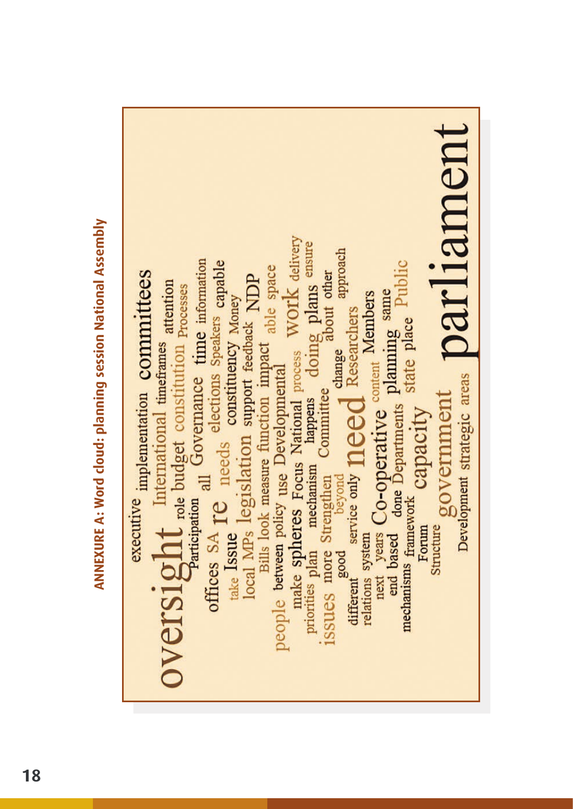**ANNEXURE A: Word cloud: planning session National Assembly ANNEXURE A: Word cloud: planning session National Assembly**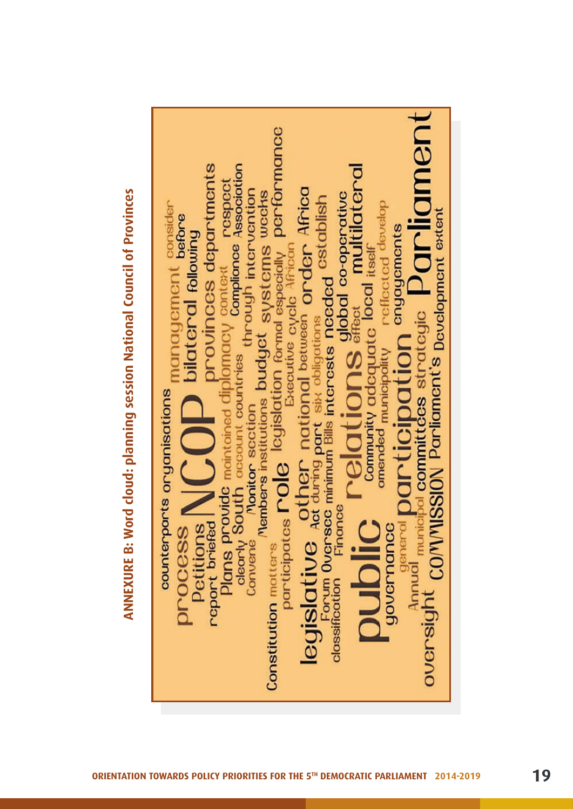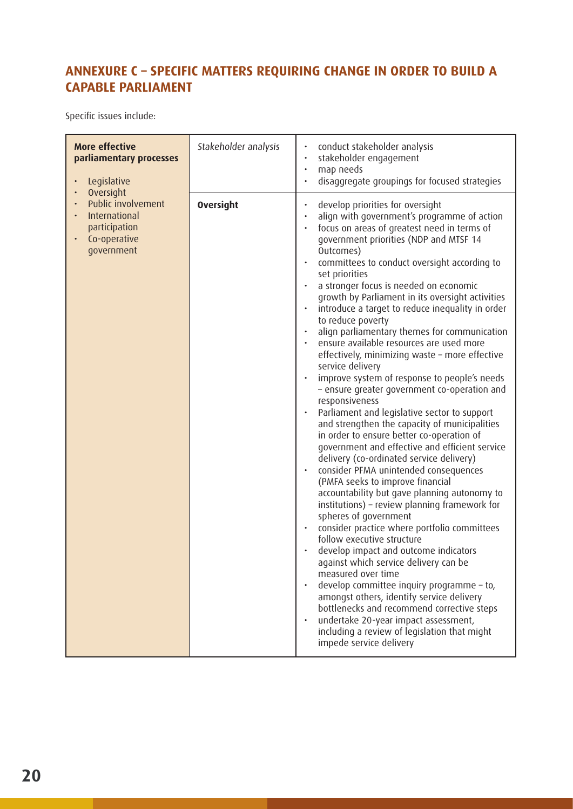# **ANNEXURE C – SPECIFIC MATTERS REQUIRING CHANGE IN ORDER TO BUILD A CAPABLE PARLIAMENT**

Specific issues include:

| <b>More effective</b><br>parliamentary processes<br>Legislative<br>$\bullet$                                                                        | Stakeholder analysis | conduct stakeholder analysis<br>stakeholder engagement<br>map needs<br>disaggregate groupings for focused strategies                                                                                                                                                                                                                                                                                                                                                                                                                                                                                                                                                                                                                                                                                                                                                                                                                                                                                                                                                                                                                                                                                                                                                                                                                                                                                                                                                                                                                                                                                                                |
|-----------------------------------------------------------------------------------------------------------------------------------------------------|----------------------|-------------------------------------------------------------------------------------------------------------------------------------------------------------------------------------------------------------------------------------------------------------------------------------------------------------------------------------------------------------------------------------------------------------------------------------------------------------------------------------------------------------------------------------------------------------------------------------------------------------------------------------------------------------------------------------------------------------------------------------------------------------------------------------------------------------------------------------------------------------------------------------------------------------------------------------------------------------------------------------------------------------------------------------------------------------------------------------------------------------------------------------------------------------------------------------------------------------------------------------------------------------------------------------------------------------------------------------------------------------------------------------------------------------------------------------------------------------------------------------------------------------------------------------------------------------------------------------------------------------------------------------|
| Oversight<br>$\bullet$<br>Public involvement<br>$\bullet$<br>International<br>$\bullet$<br>participation<br>Co-operative<br>$\bullet$<br>government | <b>Oversight</b>     | develop priorities for oversight<br>$\bullet$<br>align with government's programme of action<br>focus on areas of greatest need in terms of<br>government priorities (NDP and MTSF 14<br>Outcomes)<br>committees to conduct oversight according to<br>set priorities<br>a stronger focus is needed on economic<br>growth by Parliament in its oversight activities<br>introduce a target to reduce inequality in order<br>to reduce poverty<br>align parliamentary themes for communication<br>ensure available resources are used more<br>effectively, minimizing waste - more effective<br>service delivery<br>improve system of response to people's needs<br>- ensure greater government co-operation and<br>responsiveness<br>Parliament and legislative sector to support<br>and strengthen the capacity of municipalities<br>in order to ensure better co-operation of<br>government and effective and efficient service<br>delivery (co-ordinated service delivery)<br>consider PFMA unintended consequences<br>(PMFA seeks to improve financial<br>accountability but gave planning autonomy to<br>institutions) - review planning framework for<br>spheres of government<br>consider practice where portfolio committees<br>follow executive structure<br>develop impact and outcome indicators<br>against which service delivery can be<br>measured over time<br>develop committee inquiry programme - to,<br>amongst others, identify service delivery<br>bottlenecks and recommend corrective steps<br>undertake 20-year impact assessment,<br>including a review of legislation that might<br>impede service delivery |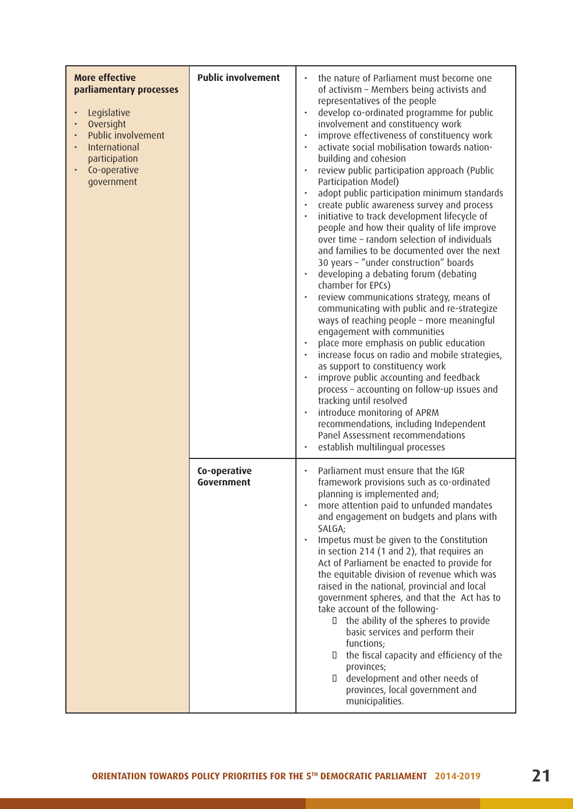| <b>More effective</b><br>parliamentary processes<br>Legislative<br>Oversight<br>Public involvement<br>International<br>participation<br>Co-operative<br>government | <b>Public involvement</b>  | the nature of Parliament must become one<br>of activism - Members being activists and<br>representatives of the people<br>develop co-ordinated programme for public<br>involvement and constituency work<br>improve effectiveness of constituency work<br>activate social mobilisation towards nation-<br>building and cohesion<br>review public participation approach (Public<br>Participation Model)<br>adopt public participation minimum standards<br>create public awareness survey and process<br>initiative to track development lifecycle of<br>people and how their quality of life improve<br>over time - random selection of individuals<br>and families to be documented over the next<br>30 years - "under construction" boards<br>developing a debating forum (debating<br>chamber for EPCs)<br>review communications strategy, means of<br>communicating with public and re-strategize<br>ways of reaching people - more meaningful<br>engagement with communities<br>place more emphasis on public education<br>increase focus on radio and mobile strategies,<br>as support to constituency work<br>improve public accounting and feedback<br>process - accounting on follow-up issues and<br>tracking until resolved<br>introduce monitoring of APRM<br>recommendations, including Independent<br>Panel Assessment recommendations<br>establish multilingual processes |
|--------------------------------------------------------------------------------------------------------------------------------------------------------------------|----------------------------|-------------------------------------------------------------------------------------------------------------------------------------------------------------------------------------------------------------------------------------------------------------------------------------------------------------------------------------------------------------------------------------------------------------------------------------------------------------------------------------------------------------------------------------------------------------------------------------------------------------------------------------------------------------------------------------------------------------------------------------------------------------------------------------------------------------------------------------------------------------------------------------------------------------------------------------------------------------------------------------------------------------------------------------------------------------------------------------------------------------------------------------------------------------------------------------------------------------------------------------------------------------------------------------------------------------------------------------------------------------------------------------------|
|                                                                                                                                                                    | Co-operative<br>Government | Parliament must ensure that the IGR<br>framework provisions such as co-ordinated<br>planning is implemented and;<br>more attention paid to unfunded mandates<br>and engagement on budgets and plans with<br>SALGA;<br>Impetus must be given to the Constitution<br>$\bullet$<br>in section 214 (1 and 2), that requires an<br>Act of Parliament be enacted to provide for<br>the equitable division of revenue which was<br>raised in the national, provincial and local<br>government spheres, and that the Act has to<br>take account of the following-<br>the ability of the spheres to provide<br>O.<br>basic services and perform their<br>functions;<br>the fiscal capacity and efficiency of the<br>O<br>provinces;<br>development and other needs of<br>O.<br>provinces, local government and<br>municipalities.                                                                                                                                                                                                                                                                                                                                                                                                                                                                                                                                                                  |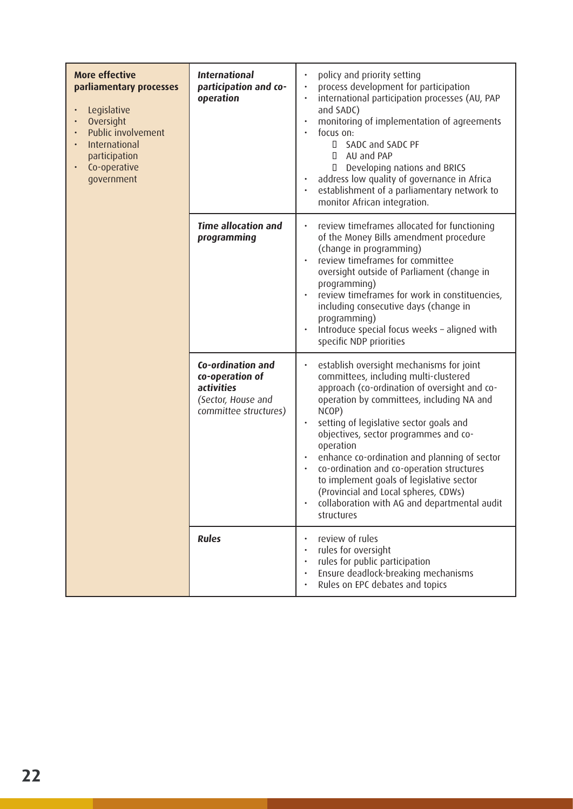| <b>More effective</b><br>parliamentary processes<br>Legislative<br>Oversight<br>Public involvement<br>International<br>participation<br>Co-operative<br>government | <b>International</b><br>participation and co-<br>operation                                               | policy and priority setting<br>process development for participation<br>$\bullet$<br>international participation processes (AU, PAP<br>$\bullet$<br>and SADC)<br>monitoring of implementation of agreements<br>$\bullet$<br>focus on:<br>SADC and SADC PF<br>$\Box$<br>AU and PAP<br>$\Box$<br>Developing nations and BRICS<br>П<br>address low quality of governance in Africa<br>$\bullet$<br>establishment of a parliamentary network to<br>monitor African integration.                                                                                                                 |
|--------------------------------------------------------------------------------------------------------------------------------------------------------------------|----------------------------------------------------------------------------------------------------------|---------------------------------------------------------------------------------------------------------------------------------------------------------------------------------------------------------------------------------------------------------------------------------------------------------------------------------------------------------------------------------------------------------------------------------------------------------------------------------------------------------------------------------------------------------------------------------------------|
|                                                                                                                                                                    | <b>Time allocation and</b><br>programming                                                                | review timeframes allocated for functioning<br>$\bullet$<br>of the Money Bills amendment procedure<br>(change in programming)<br>review timeframes for committee<br>$\bullet$<br>oversight outside of Parliament (change in<br>programming)<br>review timeframes for work in constituencies,<br>$\bullet$<br>including consecutive days (change in<br>programming)<br>Introduce special focus weeks - aligned with<br>$\bullet$<br>specific NDP priorities                                                                                                                                  |
|                                                                                                                                                                    | Co-ordination and<br>co-operation of<br><i>activities</i><br>(Sector, House and<br>committee structures) | establish oversight mechanisms for joint<br>$\bullet$<br>committees, including multi-clustered<br>approach (co-ordination of oversight and co-<br>operation by committees, including NA and<br>NCOP)<br>setting of legislative sector goals and<br>$\bullet$<br>objectives, sector programmes and co-<br>operation<br>enhance co-ordination and planning of sector<br>$\bullet$<br>co-ordination and co-operation structures<br>$\bullet$<br>to implement goals of legislative sector<br>(Provincial and Local spheres, CDWs)<br>collaboration with AG and departmental audit<br>structures |
|                                                                                                                                                                    | <b>Rules</b>                                                                                             | review of rules<br>rules for oversight<br>rules for public participation<br>$\bullet$<br>Ensure deadlock-breaking mechanisms<br>$\bullet$<br>Rules on EPC debates and topics                                                                                                                                                                                                                                                                                                                                                                                                                |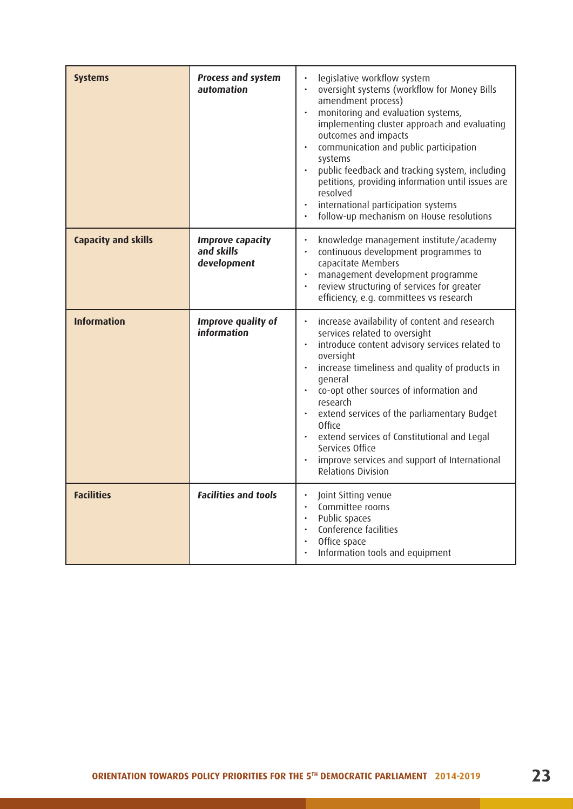| <b>Systems</b>             | Process and system<br>automation                     | legislative workflow system<br>oversight systems (workflow for Money Bills<br>$\bullet$<br>amendment process)<br>monitoring and evaluation systems,<br>$\bullet$<br>implementing cluster approach and evaluating<br>outcomes and impacts<br>communication and public participation<br>$\bullet$<br>systems<br>public feedback and tracking system, including<br>$\bullet$<br>petitions, providing information until issues are<br>resolved<br>international participation systems<br>follow-up mechanism on House resolutions<br>$\bullet$                      |
|----------------------------|------------------------------------------------------|-----------------------------------------------------------------------------------------------------------------------------------------------------------------------------------------------------------------------------------------------------------------------------------------------------------------------------------------------------------------------------------------------------------------------------------------------------------------------------------------------------------------------------------------------------------------|
| <b>Capacity and skills</b> | <b>Improve capacity</b><br>and skills<br>development | knowledge management institute/academy<br>$\bullet$<br>continuous development programmes to<br>$\bullet$<br>capacitate Members<br>management development programme<br>$\ddot{\phantom{0}}$<br>review structuring of services for greater<br>$\bullet$<br>efficiency, e.g. committees vs research                                                                                                                                                                                                                                                                |
| <b>Information</b>         | Improve quality of<br>information                    | increase availability of content and research<br>$\bullet$<br>services related to oversight<br>introduce content advisory services related to<br>$\bullet$<br>oversight<br>increase timeliness and quality of products in<br>$\bullet$<br>qeneral<br>co-opt other sources of information and<br>$\bullet$<br>research<br>extend services of the parliamentary Budget<br>$\bullet$<br><b>Office</b><br>extend services of Constitutional and Legal<br>$\bullet$<br>Services Office<br>improve services and support of International<br><b>Relations Division</b> |
| <b>Facilities</b>          | <b>Facilities and tools</b>                          | $\ddot{\phantom{0}}$<br>Joint Sitting venue<br>Committee rooms<br>$\bullet$<br>Public spaces<br>$\bullet$<br>Conference facilities<br>$\bullet$<br>Office space<br>$\bullet$<br>Information tools and equipment                                                                                                                                                                                                                                                                                                                                                 |

- 1